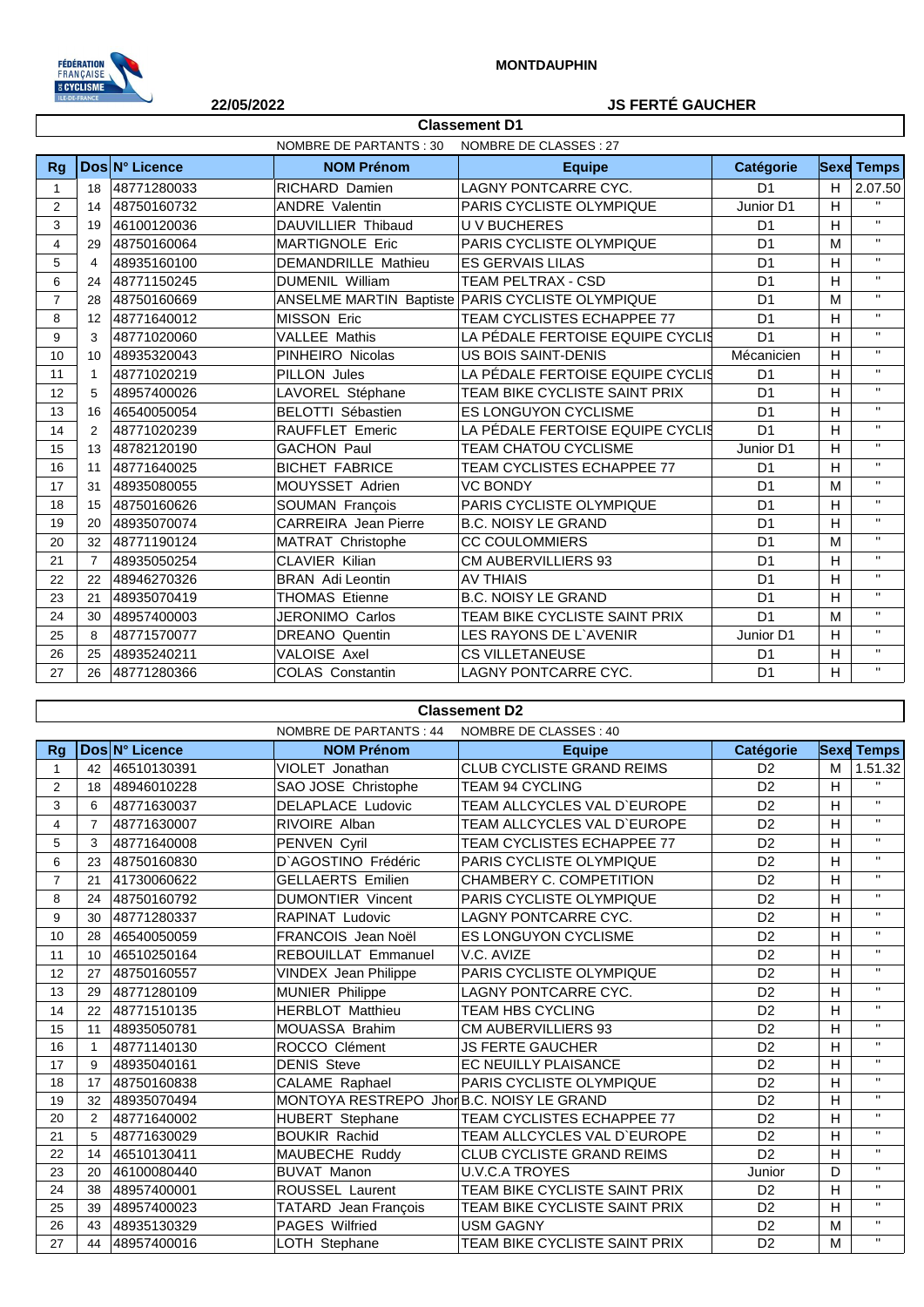

## **22/05/2022 JS FERTÉ GAUCHER**

|                | NOMBRE DE PARTANTS : 30<br>NOMBRE DE CLASSES : 27 |                |                             |                                                  |                  |   |                   |  |
|----------------|---------------------------------------------------|----------------|-----------------------------|--------------------------------------------------|------------------|---|-------------------|--|
| <b>Rg</b>      |                                                   | Dos N° Licence | <b>NOM Prénom</b>           | <b>Equipe</b>                                    | <b>Catégorie</b> |   | <b>Sexe Temps</b> |  |
| 1              | 18                                                | 48771280033    | <b>RICHARD Damien</b>       | LAGNY PONTCARRE CYC.                             | D <sub>1</sub>   | H | 2.07.50           |  |
| 2              | 14                                                | 48750160732    | <b>ANDRE Valentin</b>       | <b>PARIS CYCLISTE OLYMPIQUE</b>                  | Junior D1        | H | $\mathbf{H}$      |  |
| 3              | 19                                                | 46100120036    | DAUVILLIER Thibaud          | <b>UV BUCHERES</b>                               | D <sub>1</sub>   | H | $\mathbf{H}$      |  |
| 4              | 29                                                | 48750160064    | <b>MARTIGNOLE Eric</b>      | PARIS CYCLISTE OLYMPIQUE                         | D <sub>1</sub>   | M | $\mathbf{H}$      |  |
| 5              | 4                                                 | 48935160100    | <b>DEMANDRILLE Mathieu</b>  | <b>ES GERVAIS LILAS</b>                          | D <sub>1</sub>   | H | $\mathbf{H}$      |  |
| 6              | 24                                                | 48771150245    | <b>DUMENIL William</b>      | <b>TEAM PELTRAX - CSD</b>                        | D <sub>1</sub>   | H | $\mathbf{H}$      |  |
| $\overline{7}$ | 28                                                | 48750160669    |                             | ANSELME MARTIN Baptiste PARIS CYCLISTE OLYMPIQUE | D <sub>1</sub>   | M | $\mathbf{H}$      |  |
| 8              | 12                                                | 48771640012    | MISSON Eric                 | TEAM CYCLISTES ECHAPPEE 77                       | D <sub>1</sub>   | H | $\mathbf{H}$      |  |
| 9              | 3                                                 | 48771020060    | <b>VALLEE Mathis</b>        | LA PÉDALE FERTOISE EQUIPE CYCLIS                 | D <sub>1</sub>   | H | $\mathbf{H}$      |  |
| 10             | 10                                                | 48935320043    | PINHEIRO Nicolas            | <b>US BOIS SAINT-DENIS</b>                       | Mécanicien       | H | $\mathbf{H}$      |  |
| 11             | 1                                                 | 48771020219    | PILLON Jules                | LA PÉDALE FERTOISE EQUIPE CYCLIS                 | D <sub>1</sub>   | H | $\mathbf{H}$      |  |
| 12             | 5                                                 | 48957400026    | LAVOREL Stéphane            | TEAM BIKE CYCLISTE SAINT PRIX                    | D <sub>1</sub>   | H | $\mathbf{H}$      |  |
| 13             | 16                                                | 46540050054    | <b>BELOTTI Sébastien</b>    | ES LONGUYON CYCLISME                             | D <sub>1</sub>   | H | $\mathbf{H}$      |  |
| 14             | 2                                                 | 48771020239    | RAUFFLET Emeric             | LA PÉDALE FERTOISE EQUIPE CYCLIS                 | D <sub>1</sub>   | H | $\mathbf{H}$      |  |
| 15             | 13                                                | 48782120190    | <b>GACHON Paul</b>          | TEAM CHATOU CYCLISME                             | Junior D1        | H | $\mathbf{H}$      |  |
| 16             | 11                                                | 48771640025    | <b>BICHET FABRICE</b>       | TEAM CYCLISTES ECHAPPEE 77                       | D <sub>1</sub>   | H | $\mathbf{H}$      |  |
| 17             | 31                                                | 48935080055    | MOUYSSET Adrien             | <b>VC BONDY</b>                                  | D <sub>1</sub>   | M | $\mathbf{H}$      |  |
| 18             | 15                                                | 48750160626    | SOUMAN François             | PARIS CYCLISTE OLYMPIQUE                         | D <sub>1</sub>   | H | $\mathbf{H}$      |  |
| 19             | 20                                                | 48935070074    | <b>CARREIRA</b> Jean Pierre | <b>B.C. NOISY LE GRAND</b>                       | D <sub>1</sub>   | H | $\mathbf{H}$      |  |
| 20             | 32                                                | 48771190124    | MATRAT Christophe           | <b>CC COULOMMIERS</b>                            | D <sub>1</sub>   | M | $\mathbf{H}$      |  |
| 21             | $\overline{7}$                                    | 48935050254    | <b>CLAVIER Kilian</b>       | <b>CM AUBERVILLIERS 93</b>                       | D <sub>1</sub>   | H | $\mathbf{H}$      |  |
| 22             | 22                                                | 48946270326    | <b>BRAN</b> Adi Leontin     | <b>AV THIAIS</b>                                 | D <sub>1</sub>   | H | $\mathbf{H}$      |  |
| 23             | 21                                                | 48935070419    | <b>THOMAS Etienne</b>       | <b>B.C. NOISY LE GRAND</b>                       | D <sub>1</sub>   | H | $\mathbf{H}$      |  |
| 24             | 30                                                | 48957400003    | <b>JERONIMO Carlos</b>      | TEAM BIKE CYCLISTE SAINT PRIX                    | D <sub>1</sub>   | M | $\mathbf{H}$      |  |
| 25             | 8                                                 | 48771570077    | <b>DREANO</b> Quentin       | LES RAYONS DE L'AVENIR                           | Junior D1        | H | $\mathbf{H}$      |  |
| 26             | 25                                                | 48935240211    | VALOISE Axel                | <b>CS VILLETANEUSE</b>                           | D <sub>1</sub>   | H | $\mathbf{H}$      |  |
| 27             | 26                                                | 48771280366    | <b>COLAS Constantin</b>     | <b>LAGNY PONTCARRE CYC.</b>                      | D <sub>1</sub>   | H | $\mathbf{H}$      |  |

**Classement D1**

## **Classement D2**

|                |                 |                | NOMBRE DE PARTANTS : 44                   | NOMBRE DE CLASSES : 40           |                |   |                   |
|----------------|-----------------|----------------|-------------------------------------------|----------------------------------|----------------|---|-------------------|
| <b>Rg</b>      |                 | Dos N° Licence | <b>NOM Prénom</b>                         | <b>Equipe</b>                    | Catégorie      |   | <b>Sexe Temps</b> |
| 1              | 42              | 46510130391    | VIOLET Jonathan                           | <b>CLUB CYCLISTE GRAND REIMS</b> | D <sub>2</sub> | M | 1.51.32           |
| 2              | 18              | 48946010228    | SAO JOSE Christophe                       | <b>TEAM 94 CYCLING</b>           | D <sub>2</sub> | H | $\mathbf{H}$      |
| 3              | 6               | 48771630037    | DELAPLACE Ludovic                         | TEAM ALLCYCLES VAL D'EUROPE      | D <sub>2</sub> | H | $\mathbf{H}$      |
| 4              | $\overline{7}$  | 48771630007    | RIVOIRE Alban                             | TEAM ALLCYCLES VAL D'EUROPE      | D <sub>2</sub> | H | $\mathbf{H}$      |
| 5              | 3               | 48771640008    | PENVEN Cyril                              | TEAM CYCLISTES ECHAPPEE 77       | D <sub>2</sub> | H | $\mathbf{H}$      |
| 6              | 23              | 48750160830    | D'AGOSTINO Frédéric                       | PARIS CYCLISTE OLYMPIQUE         | D <sub>2</sub> | н | $\mathbf{H}$      |
| $\overline{7}$ | 21              | 41730060622    | <b>GELLAERTS Emilien</b>                  | CHAMBERY C. COMPETITION          | D <sub>2</sub> | H | $\mathbf{H}$      |
| 8              | 24              | 48750160792    | <b>DUMONTIER Vincent</b>                  | PARIS CYCLISTE OLYMPIQUE         | D <sub>2</sub> | H | $\mathbf{H}$      |
| 9              | 30              | 48771280337    | <b>RAPINAT Ludovic</b>                    | <b>LAGNY PONTCARRE CYC.</b>      | D <sub>2</sub> | H | $\mathbf{H}$      |
| 10             | 28              | 46540050059    | FRANCOIS Jean Noël                        | ES LONGUYON CYCLISME             | D <sub>2</sub> | н | $\mathbf{H}$      |
| 11             | 10 <sup>1</sup> | 46510250164    | <b>REBOUILLAT Emmanuel</b>                | V.C. AVIZE                       | D <sub>2</sub> | H | $\mathbf{H}$      |
| 12             | 27              | 48750160557    | <b>VINDEX Jean Philippe</b>               | PARIS CYCLISTE OLYMPIQUE         | D <sub>2</sub> | H | $\mathbf{H}$      |
| 13             | 29              | 48771280109    | MUNIER Philippe                           | LAGNY PONTCARRE CYC.             | D <sub>2</sub> | H | $\mathbf{H}$      |
| 14             | 22              | 48771510135    | <b>HERBLOT Matthieu</b>                   | <b>TEAM HBS CYCLING</b>          | D <sub>2</sub> | н | $\mathbf{H}$      |
| 15             | 11              | 48935050781    | MOUASSA Brahim                            | <b>CM AUBERVILLIERS 93</b>       | D <sub>2</sub> | H | $\mathbf{H}$      |
| 16             |                 | 48771140130    | ROCCO Clément                             | <b>JS FERTE GAUCHER</b>          | D <sub>2</sub> | H | $\mathbf{H}$      |
| 17             | 9               | 48935040161    | <b>DENIS Steve</b>                        | EC NEUILLY PLAISANCE             | D <sub>2</sub> | H | $\mathbf{H}$      |
| 18             | 17              | 48750160838    | CALAME Raphael                            | PARIS CYCLISTE OLYMPIQUE         | D <sub>2</sub> | H | $\mathbf{H}$      |
| 19             | 32              | 48935070494    | MONTOYA RESTREPO Jhor B.C. NOISY LE GRAND |                                  | D <sub>2</sub> | H | $\mathbf{H}$      |
| 20             | 2               | 48771640002    | HUBERT Stephane                           | TEAM CYCLISTES ECHAPPEE 77       | D <sub>2</sub> | H | $\mathbf{H}$      |
| 21             | 5               | 48771630029    | <b>BOUKIR Rachid</b>                      | TEAM ALLCYCLES VAL D'EUROPE      | D <sub>2</sub> | H | $\mathbf{H}$      |
| 22             | 14              | 46510130411    | MAUBECHE Ruddy                            | CLUB CYCLISTE GRAND REIMS        | D <sub>2</sub> | H | $\mathbf{H}$      |
| 23             | 20              | 46100080440    | <b>BUVAT Manon</b>                        | <b>U.V.C.A TROYES</b>            | Junior         | D | $\mathbf{H}$      |
| 24             | 38              | 48957400001    | <b>ROUSSEL Laurent</b>                    | TEAM BIKE CYCLISTE SAINT PRIX    | D <sub>2</sub> | H | $\mathbf{H}$      |
| 25             | 39              | 48957400023    | TATARD Jean François                      | TEAM BIKE CYCLISTE SAINT PRIX    | D <sub>2</sub> | H | $\mathbf{H}$      |
| 26             | 43              | 48935130329    | PAGES Wilfried                            | <b>USM GAGNY</b>                 | D <sub>2</sub> | M | $\mathbf{H}$      |
| 27             | 44              | 48957400016    | LOTH Stephane                             | TEAM BIKE CYCLISTE SAINT PRIX    | D <sub>2</sub> | M | $\mathbf{H}$      |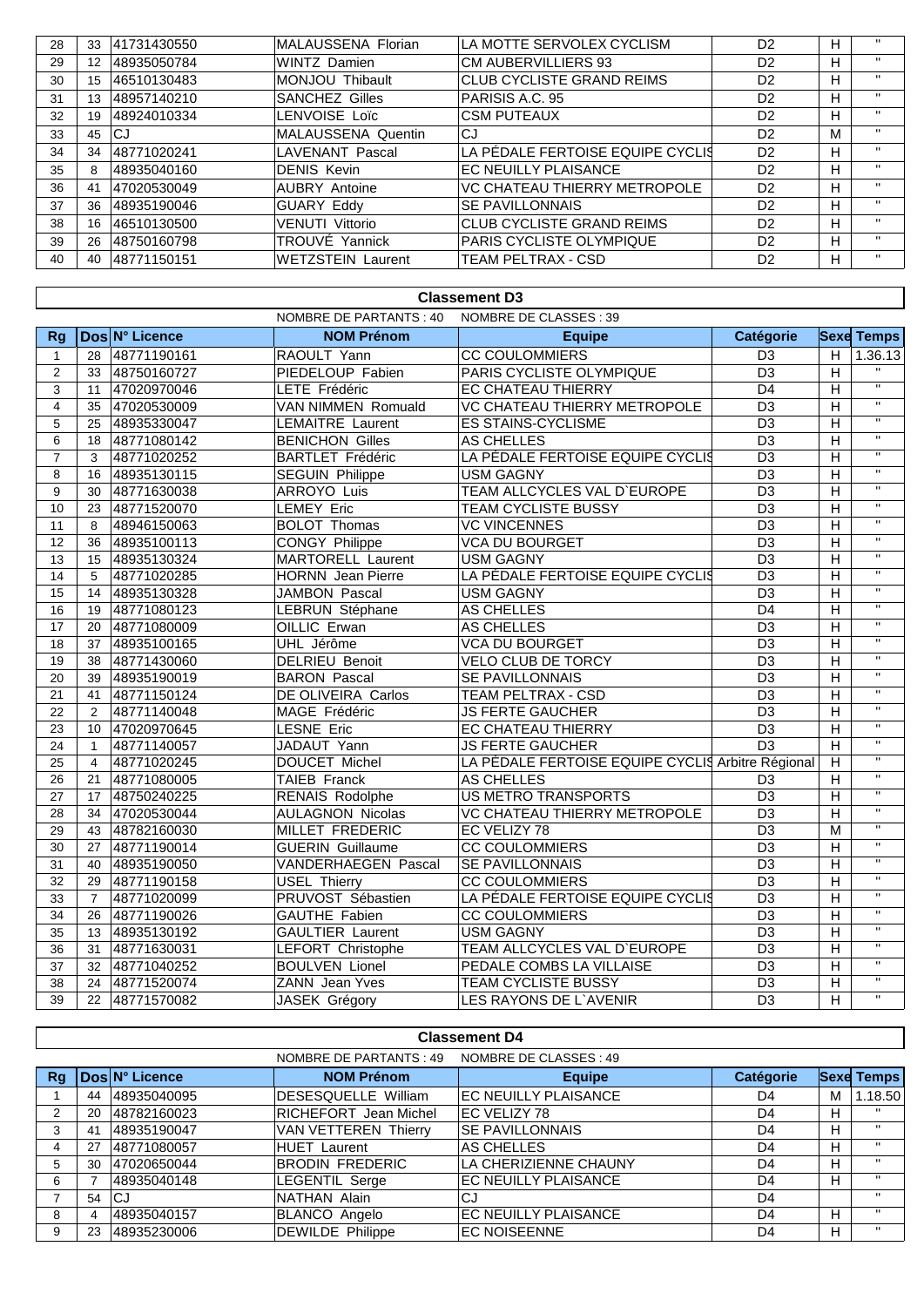| 28 | 33              | 41731430550 | MALAUSSENA Florian        | LA MOTTE SERVOLEX CYCLISM        | D <sub>2</sub> | H. | $\mathbf{H}$ |
|----|-----------------|-------------|---------------------------|----------------------------------|----------------|----|--------------|
| 29 | 12 <sup>°</sup> | 48935050784 | <b>WINTZ</b> Damien       | <b>CM AUBERVILLIERS 93</b>       | D <sub>2</sub> | H. | $\mathbf{H}$ |
| 30 | 15              | 46510130483 | MONJOU Thibault           | <b>CLUB CYCLISTE GRAND REIMS</b> | D <sub>2</sub> |    | $\mathbf{H}$ |
| 31 | 13              | 48957140210 | <b>SANCHEZ Gilles</b>     | PARISIS A.C. 95                  | D <sub>2</sub> | H  | $\mathbf{H}$ |
| 32 | 19              | 48924010334 | LENVOISE Loïc             | <b>CSM PUTEAUX</b>               | D <sub>2</sub> | H  | $\mathbf{H}$ |
| 33 | 45              | CJ          | <b>MALAUSSENA Quentin</b> | CJ                               | D <sub>2</sub> | м  | $\mathbf{H}$ |
| 34 | 34              | 48771020241 | <b>LAVENANT Pascal</b>    | LA PÉDALE FERTOISE EQUIPE CYCLIS | D <sub>2</sub> | H  | $\mathbf{H}$ |
| 35 | 8               | 48935040160 | <b>DENIS Kevin</b>        | EC NEUILLY PLAISANCE             | D <sub>2</sub> | H  | $\mathbf{H}$ |
| 36 | 41              | 47020530049 | <b>AUBRY Antoine</b>      | VC CHATEAU THIERRY METROPOLE     | D <sub>2</sub> | H  | $\mathbf{H}$ |
| 37 | 36              | 48935190046 | <b>GUARY Eddy</b>         | <b>SE PAVILLONNAIS</b>           | D <sub>2</sub> | H  | $\mathbf{H}$ |
| 38 | 16              | 46510130500 | <b>VENUTI Vittorio</b>    | <b>CLUB CYCLISTE GRAND REIMS</b> | D <sub>2</sub> | H  | $\mathbf{H}$ |
| 39 | 26              | 48750160798 | TROUVÉ Yannick            | <b>PARIS CYCLISTE OLYMPIQUE</b>  | D <sub>2</sub> | H  | $\mathbf{H}$ |
| 40 | 40              | 48771150151 | <b>WETZSTEIN Laurent</b>  | TEAM PELTRAX - CSD               | D <sub>2</sub> | H. | $\mathbf{H}$ |

| <b>Classement D3</b>    |                                                   |                |                           |                                                   |                 |                |                         |  |  |  |
|-------------------------|---------------------------------------------------|----------------|---------------------------|---------------------------------------------------|-----------------|----------------|-------------------------|--|--|--|
|                         | NOMBRE DE PARTANTS : 40<br>NOMBRE DE CLASSES : 39 |                |                           |                                                   |                 |                |                         |  |  |  |
| Rq                      |                                                   | Dos N° Licence | <b>NOM Prénom</b>         | <b>Equipe</b>                                     | Catégorie       |                | <b>Sexe Temps</b>       |  |  |  |
| $\mathbf{1}$            | 28                                                | 48771190161    | RAOULT Yann               | <b>CC COULOMMIERS</b>                             | D <sub>3</sub>  | H              | 1.36.13                 |  |  |  |
| $\overline{c}$          | 33                                                | 48750160727    | PIEDELOUP Fabien          | PARIS CYCLISTE OLYMPIQUE                          | $\overline{D3}$ | $\overline{H}$ |                         |  |  |  |
| 3                       | 11                                                | 47020970046    | LETE Frédéric             | <b>EC CHATEAU THIERRY</b>                         | D <sub>4</sub>  | H              | $\overline{u}$          |  |  |  |
| $\overline{\mathbf{4}}$ | 35                                                | 47020530009    | <b>VAN NIMMEN Romuald</b> | VC CHATEAU THIERRY METROPOLE                      | $\overline{D3}$ | $\overline{H}$ | $\overline{u}$          |  |  |  |
| 5                       | 25                                                | 48935330047    | <b>LEMAITRE Laurent</b>   | <b>ES STAINS-CYCLISME</b>                         | $\overline{D3}$ | H              | $\overline{u}$          |  |  |  |
| 6                       | 18                                                | 48771080142    | <b>BENICHON Gilles</b>    | AS CHELLES                                        | $\overline{D3}$ | $\overline{H}$ | $\overline{\mathbf{u}}$ |  |  |  |
| $\overline{7}$          | 3                                                 | 48771020252    | <b>BARTLET Frédéric</b>   | LA PÉDALE FERTOISE EQUIPE CYCLIS                  | D <sub>3</sub>  | $\overline{H}$ | $\overline{\mathbf{u}}$ |  |  |  |
| 8                       | 16                                                | 48935130115    | <b>SEGUIN Philippe</b>    | <b>USM GAGNY</b>                                  | $\overline{D3}$ | $\overline{H}$ | $\overline{u}$          |  |  |  |
| 9                       | 30                                                | 48771630038    | ARROYO Luis               | TEAM ALLCYCLES VAL D'EUROPE                       | D <sub>3</sub>  | H              | $\overline{\mathbf{u}}$ |  |  |  |
| 10                      | 23                                                | 48771520070    | <b>LEMEY Eric</b>         | <b>TEAM CYCLISTE BUSSY</b>                        | D <sub>3</sub>  | $\overline{H}$ | $\mathbf H$             |  |  |  |
| 11                      | 8                                                 | 48946150063    | <b>BOLOT Thomas</b>       | <b>VC VINCENNES</b>                               | D <sub>3</sub>  | $\overline{H}$ | $\overline{u}$          |  |  |  |
| 12                      | 36                                                | 48935100113    | <b>CONGY Philippe</b>     | <b>VCA DU BOURGET</b>                             | D <sub>3</sub>  | $\overline{H}$ | $\overline{u}$          |  |  |  |
| 13                      | 15                                                | 48935130324    | <b>MARTORELL Laurent</b>  | <b>USM GAGNY</b>                                  | D <sub>3</sub>  | H              | $\overline{u}$          |  |  |  |
| 14                      | 5                                                 | 48771020285    | <b>HORNN</b> Jean Pierre  | LA PÉDALE FERTOISE EQUIPE CYCLIS                  | $\overline{D3}$ | $\overline{H}$ | $\overline{u}$          |  |  |  |
| 15                      | 14                                                | 48935130328    | <b>JAMBON Pascal</b>      | <b>USM GAGNY</b>                                  | $\overline{D3}$ | $\overline{H}$ | $\overline{\mathbf{u}}$ |  |  |  |
| 16                      | 19                                                | 48771080123    | LEBRUN Stéphane           | <b>AS CHELLES</b>                                 | $\overline{D4}$ | $\overline{H}$ | $\overline{\mathbf{u}}$ |  |  |  |
| 17                      | 20                                                | 48771080009    | OILLIC Erwan              | <b>AS CHELLES</b>                                 | D <sub>3</sub>  | H              | π                       |  |  |  |
| 18                      | 37                                                | 48935100165    | UHL Jérôme                | <b>VCA DU BOURGET</b>                             | $\overline{D3}$ | $\overline{H}$ | $\overline{u}$          |  |  |  |
| 19                      | 38                                                | 48771430060    | <b>DELRIEU Benoit</b>     | <b>VELO CLUB DE TORCY</b>                         | $\overline{D3}$ | $\overline{H}$ | $\overline{\mathbf{u}}$ |  |  |  |
| 20                      | 39                                                | 48935190019    | <b>BARON Pascal</b>       | SE PAVILLONNAIS                                   | D <sub>3</sub>  | $\overline{H}$ | $\overline{\mathbf{u}}$ |  |  |  |
| 21                      | 41                                                | 48771150124    | DE OLIVEIRA Carlos        | TEAM PELTRAX - CSD                                | D <sub>3</sub>  | H              | $\mathbf{H}$            |  |  |  |
| 22                      | 2                                                 | 48771140048    | MAGE Frédéric             | <b>JS FERTE GAUCHER</b>                           | D <sub>3</sub>  | $\overline{H}$ | $\overline{u}$          |  |  |  |
| 23                      | 10 <sup>°</sup>                                   | 47020970645    | <b>LESNE Eric</b>         | EC CHATEAU THIERRY                                | $\overline{D3}$ | $\overline{H}$ | $\overline{\mathbf{u}}$ |  |  |  |
| 24                      | $\mathbf{1}$                                      | 48771140057    | JADAUT Yann               | <b>JS FERTE GAUCHER</b>                           | $\overline{D3}$ | H              | π                       |  |  |  |
| 25                      | $\overline{4}$                                    | 48771020245    | DOUCET Michel             | LA PÉDALE FERTOISE EQUIPE CYCLIS Arbitre Régional |                 | H              | $\mathbf{H}$            |  |  |  |
| 26                      | 21                                                | 48771080005    | <b>TAIEB Franck</b>       | <b>AS CHELLES</b>                                 | D <sub>3</sub>  | $\overline{H}$ | $\overline{u}$          |  |  |  |
| 27                      | 17                                                | 48750240225    | <b>RENAIS Rodolphe</b>    | <b>US METRO TRANSPORTS</b>                        | $\overline{D3}$ | $\overline{H}$ | $\overline{\mathbf{u}}$ |  |  |  |
| 28                      | 34                                                | 47020530044    | <b>AULAGNON Nicolas</b>   | VC CHATEAU THIERRY METROPOLE                      | $\overline{D3}$ | $\overline{H}$ | $\overline{u}$          |  |  |  |
| 29                      | 43                                                | 48782160030    | <b>MILLET FREDERIC</b>    | EC VELIZY 78                                      | $\overline{D3}$ | $\overline{M}$ | π                       |  |  |  |
| 30                      | 27                                                | 48771190014    | <b>GUERIN Guillaume</b>   | <b>CC COULOMMIERS</b>                             | D <sub>3</sub>  | H              | $\mathbf{H}$            |  |  |  |
| 31                      | 40                                                | 48935190050    | VANDERHAEGEN Pascal       | <b>SE PAVILLONNAIS</b>                            | D <sub>3</sub>  | $\overline{H}$ | $\overline{\mathbf{u}}$ |  |  |  |
| 32                      | 29                                                | 48771190158    | <b>USEL Thierry</b>       | <b>CC COULOMMIERS</b>                             | D <sub>3</sub>  | H              | $\mathbf{H}$            |  |  |  |
| 33                      | $\overline{7}$                                    | 48771020099    | PRUVOST Sébastien         | LA PÉDALE FERTOISE EQUIPE CYCLIS                  | D <sub>3</sub>  | H              | $\mathbf{H}$            |  |  |  |
| 34                      | 26                                                | 48771190026    | <b>GAUTHE Fabien</b>      | <b>CC COULOMMIERS</b>                             | $\overline{D3}$ | $\overline{H}$ | $\overline{u}$          |  |  |  |
| 35                      | 13                                                | 48935130192    | <b>GAULTIER Laurent</b>   | <b>USM GAGNY</b>                                  | $\overline{D3}$ | $\overline{H}$ | $\overline{u}$          |  |  |  |
| 36                      | 31                                                | 48771630031    | LEFORT Christophe         | TEAM ALLCYCLES VAL D'EUROPE                       | $\overline{D3}$ | $\overline{H}$ | $\overline{\mathbf{u}}$ |  |  |  |
| $\overline{37}$         | 32                                                | 48771040252    | <b>BOULVEN Lionel</b>     | PEDALE COMBS LA VILLAISE                          | D <sub>3</sub>  | $\overline{H}$ | π                       |  |  |  |
| 38                      | 24                                                | 48771520074    | ZANN Jean Yves            | <b>TEAM CYCLISTE BUSSY</b>                        | $\overline{D3}$ | $\overline{H}$ | $\overline{\mathbf{u}}$ |  |  |  |
| 39                      | 22                                                | 48771570082    | <b>JASEK Grégory</b>      | LES RAYONS DE L'AVENIR                            | $\overline{D3}$ | $\overline{H}$ | $\overline{\mathbf{u}}$ |  |  |  |

## **Classement D4**

|    |    |                | NOMBRE DE PARTANTS : 49      | NOMBRE DE CLASSES : 49      |                |   |                   |
|----|----|----------------|------------------------------|-----------------------------|----------------|---|-------------------|
| Rg |    | Dos N° Licence | <b>NOM Prénom</b>            | <b>Equipe</b>               | Catégorie      |   | <b>Sexe Temps</b> |
|    | 44 | 48935040095    | DESESQUELLE William          | <b>EC NEUILLY PLAISANCE</b> | D4             | м | 1.18.50           |
|    | 20 | 48782160023    | <b>RICHEFORT</b> Jean Michel | <b>IEC VELIZY 78</b>        | D4             | Н | $\mathbf{H}$      |
|    | 41 | 48935190047    | VAN VETTEREN Thierry         | <b>SE PAVILLONNAIS</b>      | D4             | Н | $\mathbf{H}$      |
|    | 27 | 48771080057    | <b>HUET Laurent</b>          | AS CHELLES                  | D4             | н | $\mathbf{H}$      |
|    | 30 | 47020650044    | <b>BRODIN FREDERIC</b>       | LA CHERIZIENNE CHAUNY       | D4             | н | $\mathbf{H}$      |
| 6  |    | 48935040148    | <b>LEGENTIL Serge</b>        | <b>EC NEUILLY PLAISANCE</b> | D <sub>4</sub> | н | $\mathbf{H}$      |
|    | 54 | ICJ            | NATHAN Alain                 | CJ                          | D4             |   | $\mathbf{H}$      |
| 8  |    | 48935040157    | <b>BLANCO Angelo</b>         | EC NEUILLY PLAISANCE        | D4             | Н | $\mathbf{H}$      |
|    | 23 | 48935230006    | <b>DEWILDE Philippe</b>      | <b>EC NOISEENNE</b>         | D4             | н | $\mathbf{H}$      |